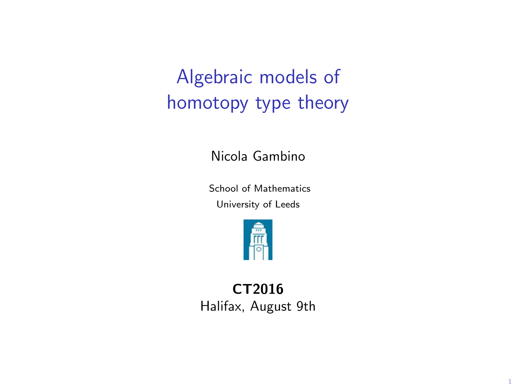Algebraic models of homotopy type theory

Nicola Gambino

School of Mathematics University of Leeds



CT2016 Halifax, August 9th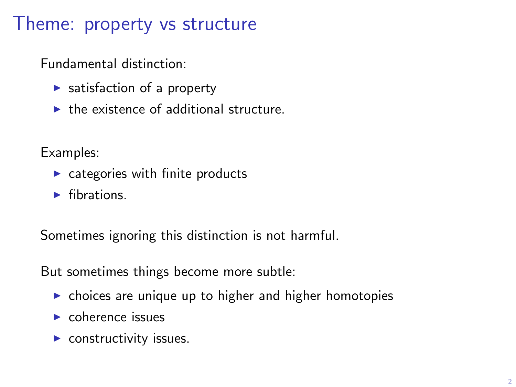## Theme: property vs structure

Fundamental distinction:

- $\blacktriangleright$  satisfaction of a property
- $\blacktriangleright$  the existence of additional structure.

Examples:

- $\triangleright$  categories with finite products
- $\blacktriangleright$  fibrations.

Sometimes ignoring this distinction is not harmful.

But sometimes things become more subtle:

- $\triangleright$  choices are unique up to higher and higher homotopies
- $\blacktriangleright$  coherence issues
- $\blacktriangleright$  constructivity issues.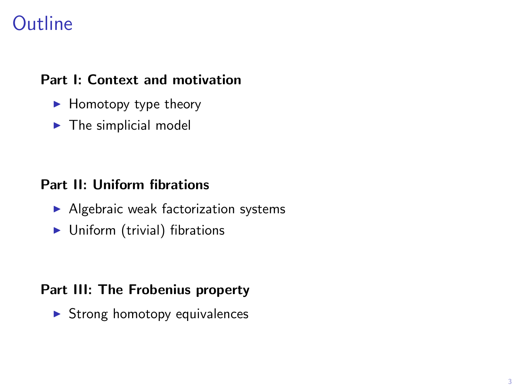# **Outline**

### Part I: Context and motivation

- $\blacktriangleright$  Homotopy type theory
- $\blacktriangleright$  The simplicial model

### Part II: Uniform fibrations

- $\blacktriangleright$  Algebraic weak factorization systems
- $\blacktriangleright$  Uniform (trivial) fibrations

### Part III: The Frobenius property

 $\triangleright$  Strong homotopy equivalences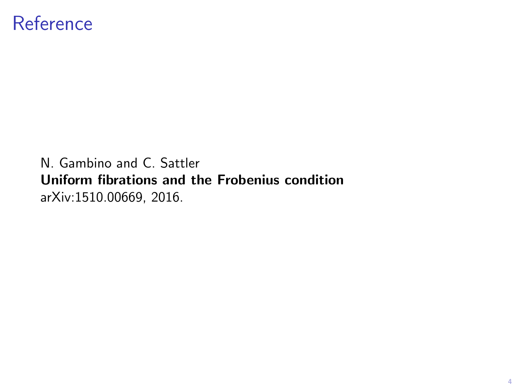## Reference

N. Gambino and C. Sattler Uniform fibrations and the Frobenius condition arXiv:1510.00669, 2016.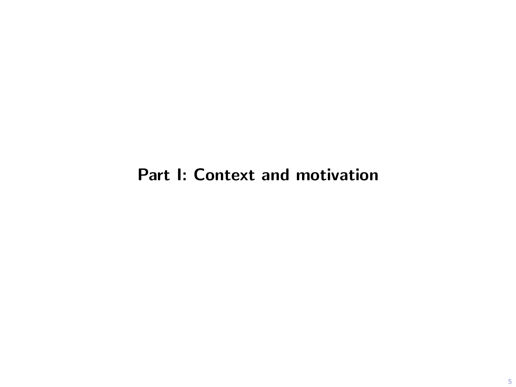### Part I: Context and motivation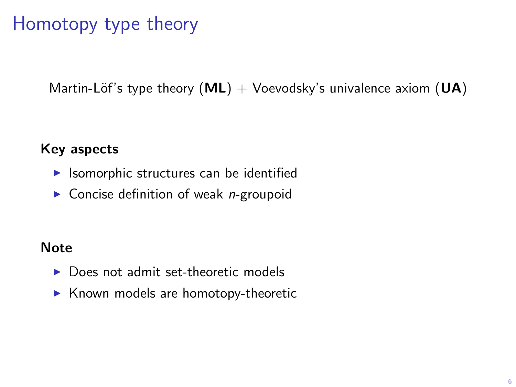# Homotopy type theory

Martin-Löf's type theory  $(ML)$  + Voevodsky's univalence axiom  $(UA)$ 

### Key aspects

- $\blacktriangleright$  Isomorphic structures can be identified
- $\triangleright$  Concise definition of weak *n*-groupoid

#### **Note**

- ▶ Does not admit set-theoretic models
- $\blacktriangleright$  Known models are homotopy-theoretic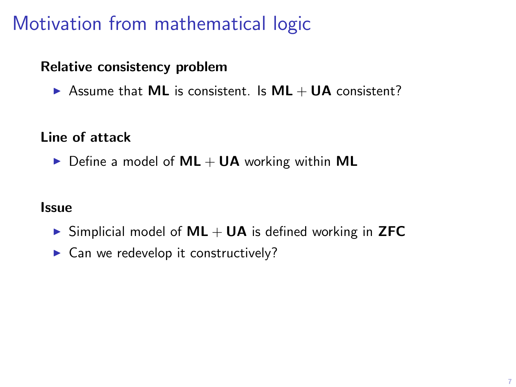# Motivation from mathematical logic

### Relative consistency problem

Assume that ML is consistent. Is  $ML + UA$  consistent?

### Line of attack

 $\triangleright$  Define a model of  $ML + UA$  working within ML

#### **Issue**

- $\triangleright$  Simplicial model of ML + UA is defined working in ZFC
- $\blacktriangleright$  Can we redevelop it constructively?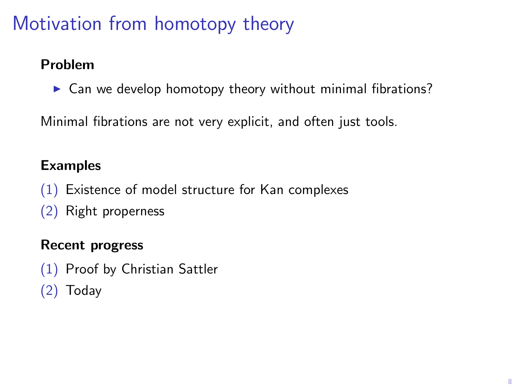# Motivation from homotopy theory

### Problem

 $\triangleright$  Can we develop homotopy theory without minimal fibrations?

Minimal fibrations are not very explicit, and often just tools.

### Examples

(1) Existence of model structure for Kan complexes (2) Right properness

### Recent progress

(1) Proof by Christian Sattler (2) Today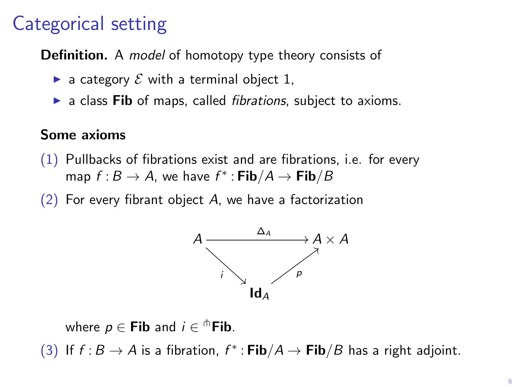# Categorical setting

Definition. A *model* of homotopy type theory consists of

- $\triangleright$  a category  $\mathcal E$  with a terminal object 1,
- $\triangleright$  a class Fib of maps, called *fibrations*, subject to axioms.

### Some axioms

- (1) Pullbacks of fibrations exist and are fibrations, i.e. for every map  $f : B \to A$ , we have  $f^* : \mathsf{Fib}/A \to \mathsf{Fib}/B$
- $(2)$  For every fibrant object A, we have a factorization



where  $p \in \mathsf{Fib}$  and  $i \in \mathsf{^\hbar Fib}.$ 

(3) If  $f : B \to A$  is a fibration,  $f^* : \mathsf{Fib}/A \to \mathsf{Fib}/B$  has a right adjoint.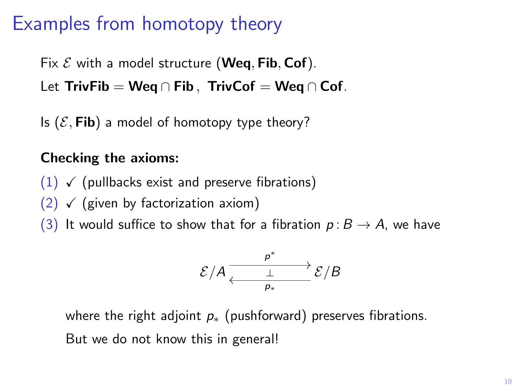## Examples from homotopy theory

Fix  $\mathcal E$  with a model structure (Weq, Fib, Cof). Let TrivFib = Wea ∩ Fib. TrivCof = Wea ∩ Cof.

Is  $(\mathcal{E},$  Fib) a model of homotopy type theory?

### Checking the axioms:

- $(1)$   $\checkmark$  (pullbacks exist and preserve fibrations)
- $(2)$   $\checkmark$  (given by factorization axiom)
- (3) It would suffice to show that for a fibration  $p : B \to A$ , we have

$$
\mathcal{E}/A \xrightarrow{\rho^*} \mathcal{E}/B
$$

where the right adjoint  $p_{*}$  (pushforward) preserves fibrations. But we do not know this in general!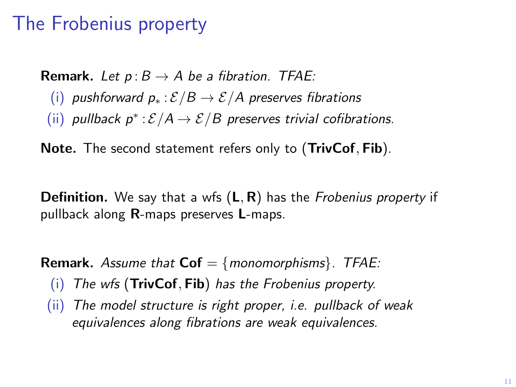## The Frobenius property

**Remark.** Let  $p: B \to A$  be a fibration. TFAE: (i) pushforward  $p_* : \mathcal{E}/B \to \mathcal{E}/A$  preserves fibrations (ii) pullback  $p^*: \mathcal{E}/A \to \mathcal{E}/B$  preserves trivial cofibrations.

Note. The second statement refers only to (TrivCof, Fib).

**Definition.** We say that a wfs  $(L, R)$  has the *Frobenius property* if pullback along R-maps preserves L-maps.

**Remark.** Assume that  $\text{Cof} = \{monomorphisms\}$ . TFAE:

- (i) The wfs (TrivCof, Fib) has the Frobenius property.
- (ii) The model structure is right proper, i.e. pullback of weak equivalences along fibrations are weak equivalences.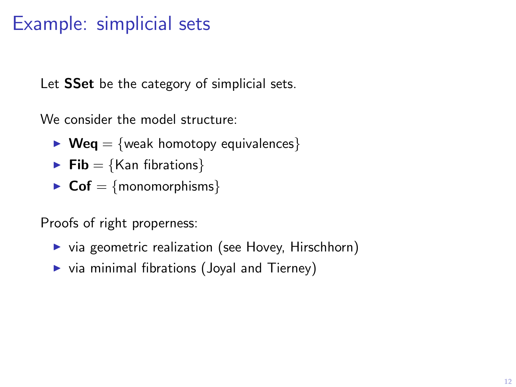## Example: simplicial sets

Let **SSet** be the category of simplicial sets.

We consider the model structure:

- $\triangleright$  Weq = {weak homotopy equivalences}
- $\blacktriangleright$  Fib = {Kan fibrations}
- $\triangleright$  Cof = {monomorphisms}

Proofs of right properness:

- $\triangleright$  via geometric realization (see Hovey, Hirschhorn)
- $\triangleright$  via minimal fibrations (Joyal and Tierney)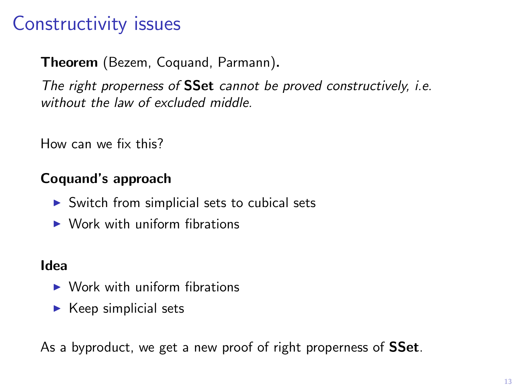# Constructivity issues

Theorem (Bezem, Coquand, Parmann).

The right properness of **SSet** cannot be proved constructively, *i.e.* without the law of excluded middle.

How can we fix this?

### Coquand's approach

- $\triangleright$  Switch from simplicial sets to cubical sets
- $\triangleright$  Work with uniform fibrations

### Idea

- $\triangleright$  Work with uniform fibrations
- $\blacktriangleright$  Keep simplicial sets

As a byproduct, we get a new proof of right properness of **SSet**.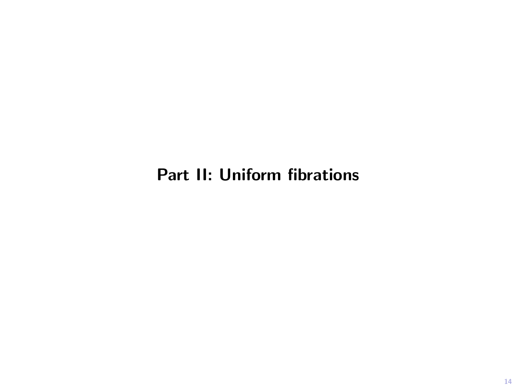### Part II: Uniform fibrations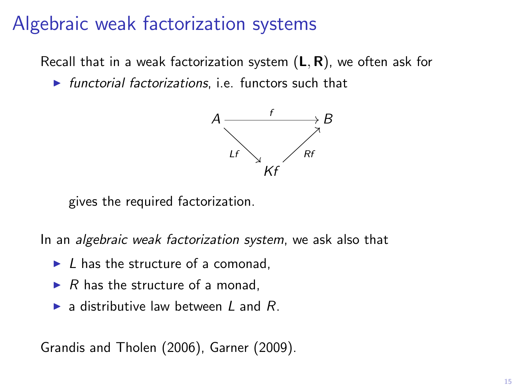## Algebraic weak factorization systems

Recall that in a weak factorization system  $(L, R)$ , we often ask for

 $\triangleright$  functorial factorizations, i.e. functors such that



gives the required factorization.

In an algebraic weak factorization system, we ask also that

- $\blacktriangleright$  L has the structure of a comonad,
- $\triangleright$  R has the structure of a monad,
- $\blacktriangleright$  a distributive law between L and R.

Grandis and Tholen (2006), Garner (2009).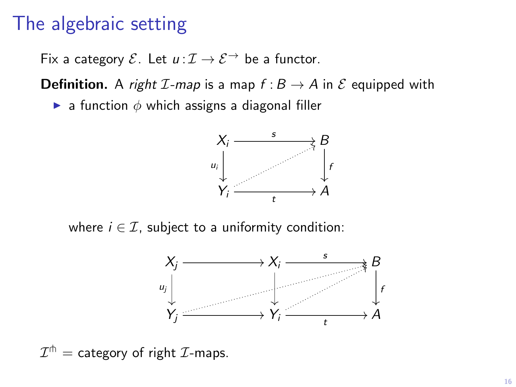## The algebraic setting

Fix a category  $\mathcal{E}$ . Let  $u: \mathcal{I} \to \mathcal{E}$  be a functor.

**Definition.** A *right I-map* is a map  $f : B \to A$  in  $\mathcal E$  equipped with

**Ex** a function  $\phi$  which assigns a diagonal filler



where  $i \in \mathcal{I}$ , subject to a uniformity condition:



 $\mathcal{I}^\pitchfork =$  category of right  $\mathcal{I}\text{-maps}.$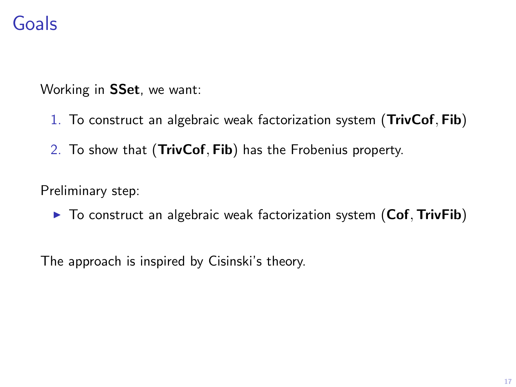# Goals

Working in SSet, we want:

- 1. To construct an algebraic weak factorization system (TrivCof, Fib)
- 2. To show that (TrivCof, Fib) has the Frobenius property.

Preliminary step:

 $\triangleright$  To construct an algebraic weak factorization system (Cof, TrivFib)

The approach is inspired by Cisinski's theory.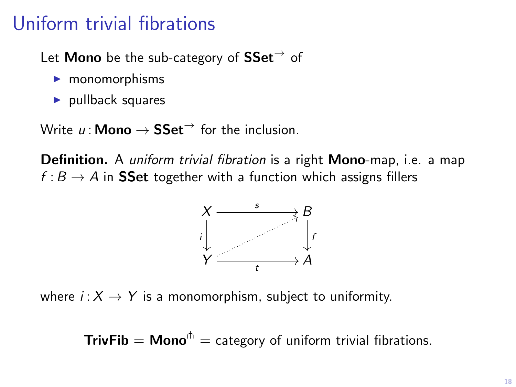## Uniform trivial fibrations

Let **Mono** be the sub-category of  $SSet^{\rightarrow}$  of

- $\blacktriangleright$  monomorphisms
- $\blacktriangleright$  pullback squares

Write  $u : \mathsf{Mono} \to \mathsf{SSet}^{\to}$  for the inclusion.

**Definition.** A *uniform trivial fibration* is a right **Mono-**map, i.e. a map  $f : B \to A$  in **SSet** together with a function which assigns fillers



where  $i: X \rightarrow Y$  is a monomorphism, subject to uniformity.

**TrivFib = Mono**<sup> $\uparrow$ </sup> = category of uniform trivial fibrations.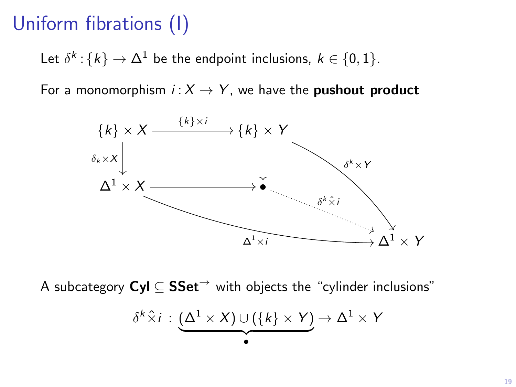# Uniform fibrations (I)

Let  $\delta^k$  :  $\{k\} \rightarrow \Delta^1$  be the endpoint inclusions,  $k \in \{0,1\}.$ 

For a monomorphism  $i: X \rightarrow Y$ , we have the **pushout product** 



A subcategory  $Cyl \subseteq SSet^{\rightarrow}$  with objects the "cylinder inclusions"

$$
\delta^k \hat{\times} i : \underbrace{(\Delta^1 \times X) \cup (\{k\} \times Y)}_{\bullet} \to \Delta^1 \times Y
$$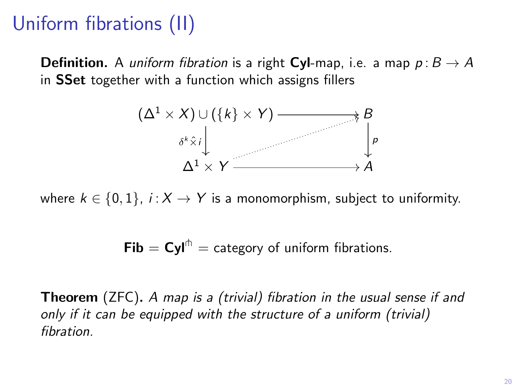# Uniform fibrations (II)

**Definition.** A *uniform fibration* is a right **Cyl**-map, i.e. a map  $p : B \to A$ in SSet together with a function which assigns fillers



where  $k \in \{0, 1\}$ ,  $i : X \rightarrow Y$  is a monomorphism, subject to uniformity.

Fib =  $\text{Cyl}^{\text{th}}$  = category of uniform fibrations.

**Theorem** (ZFC). A map is a (trivial) fibration in the usual sense if and only if it can be equipped with the structure of a uniform (trivial) fibration.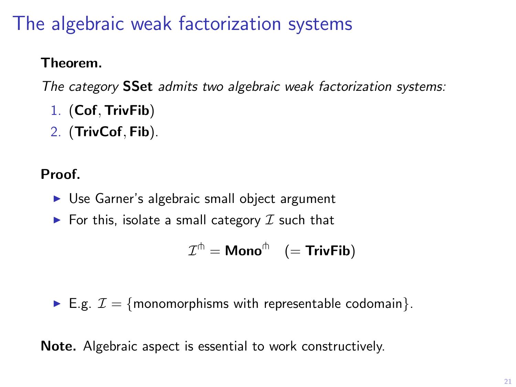# The algebraic weak factorization systems

### Theorem.

The category **SSet** admits two algebraic weak factorization systems:

- 1. (Cof, TrivFib)
- 2. (TrivCof, Fib).

### Proof.

- $\triangleright$  Use Garner's algebraic small object argument
- $\blacktriangleright$  For this, isolate a small category  $\mathcal I$  such that

$$
\mathcal{I}^{\pitchfork} = \text{Mono}^{\pitchfork} \quad \big( = \text{TrivFib} \big)
$$

E.g.  $\mathcal{I} = \{$  monomorphisms with representable codomain $\}$ .

Note. Algebraic aspect is essential to work constructively.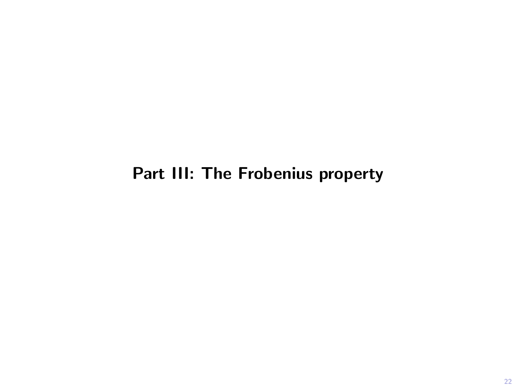### Part III: The Frobenius property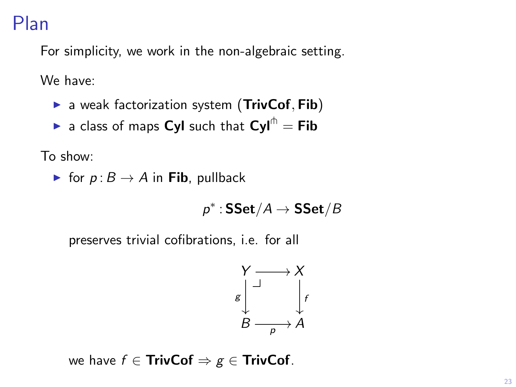## Plan

For simplicity, we work in the non-algebraic setting.

We have:

- $\triangleright$  a weak factorization system (TrivCof, Fib)
- **In a class of maps Cyl such that Cyl**<sup> $\uparrow$ </sup> = Fib

To show:

► for  $p: B \to A$  in Fib, pullback

$$
\rho^*:\mathbf{SSet}/A\to \mathbf{SSet}/B
$$

preserves trivial cofibrations, i.e. for all

$$
\begin{array}{ccc}\nY & \longrightarrow & X \\
\downarrow & & \downarrow \\
B & \longrightarrow & A\n\end{array}
$$

we have  $f \in$  TrivCof  $\Rightarrow g \in$  TrivCof.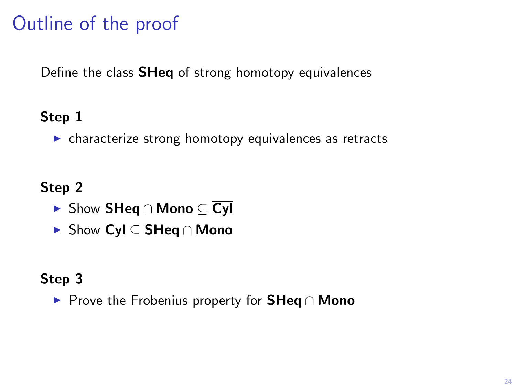# Outline of the proof

Define the class SHeq of strong homotopy equivalences

### Step 1

 $\triangleright$  characterize strong homotopy equivalences as retracts

Step 2

- <sup>I</sup> Show SHeq ∩ Mono ⊆ Cyl
- <sup>I</sup> Show Cyl ⊆ SHeq ∩ Mono

### Step 3

► Prove the Frobenius property for **SHeq** ∩ Mono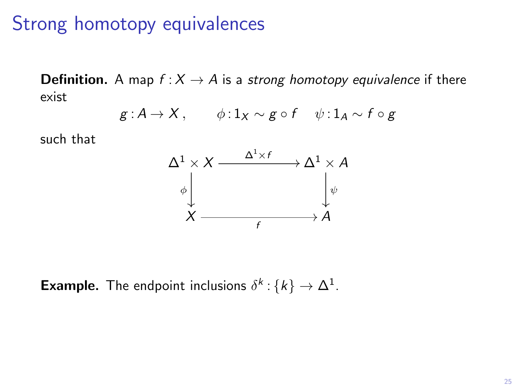## Strong homotopy equivalences

**Definition.** A map  $f : X \to A$  is a strong homotopy equivalence if there exist

$$
g: A \to X
$$
,  $\phi: 1_X \sim g \circ f \quad \psi: 1_A \sim f \circ g$ 

such that



**Example.** The endpoint inclusions  $\delta^k$ :  $\{k\} \to \Delta^1$ .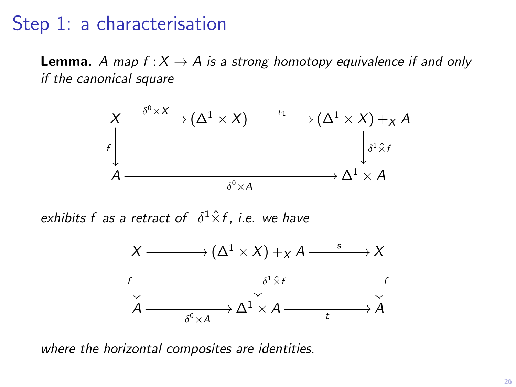### Step 1: a characterisation

**Lemma.** A map  $f: X \rightarrow A$  is a strong homotopy equivalence if and only if the canonical square



exhibits f as a retract of  $\delta^1 \hat{\times} f$ , i.e. we have



where the horizontal composites are identities.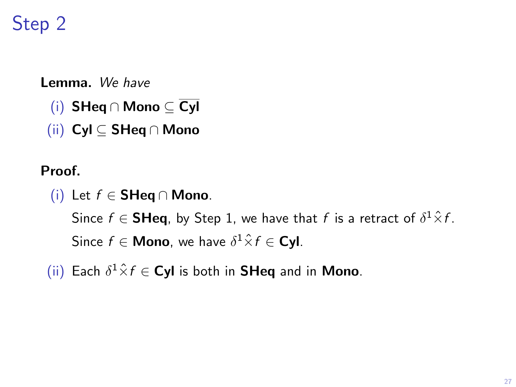# Step 2

Lemma. We have

- (i) SHeq ∩ Mono ⊆ Cyl
- (ii) Cyl ⊆ SHeq ∩ Mono

Proof.

(i) Let  $f$  ∈ SHeq ∩ Mono.

Since  $f \in \mathsf{S}\mathsf{H}\mathsf{eq}$ , by Step 1, we have that  $f$  is a retract of  $\delta^1 \hat{\times} f$ . Since  $f \in \mathsf{Mono}$ , we have  $\delta^1 \hat{\times} f \in \mathsf{Cyl}$ .

(ii) Each  $\delta^1 \hat{\times} f \in \mathsf{Cyl}$  is both in **SHeq** and in **Mono**.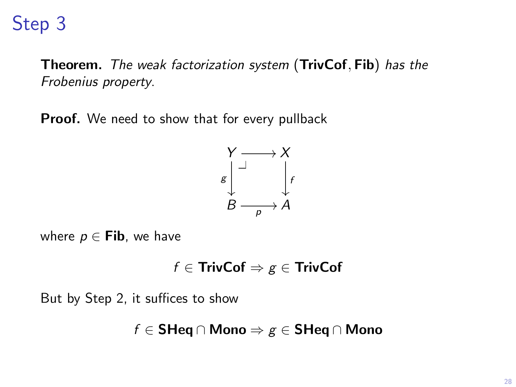# Step 3

Theorem. The weak factorization system (TrivCof, Fib) has the Frobenius property.

Proof. We need to show that for every pullback



where  $p \in$  Fib, we have

$$
f\in\mathsf{TrivCof}\Rightarrow g\in\mathsf{TrivCof}
$$

But by Step 2, it suffices to show

$$
f\in\operatorname{\mathsf{SHeq}}\nolimits\cap\operatorname{\mathsf{Mono}}\nolimits\Rightarrow g\in\operatorname{\mathsf{SHeq}}\nolimits\cap\operatorname{\mathsf{Mono}}\nolimits
$$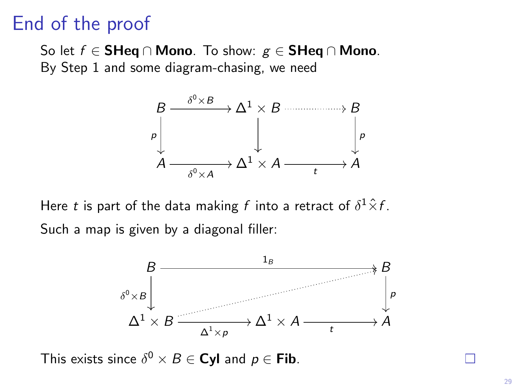## End of the proof

So let  $f \in$  SHeq ∩ Mono. To show:  $g \in$  SHeq ∩ Mono. By Step 1 and some diagram-chasing, we need



Here  $t$  is part of the data making  $f$  into a retract of  $\delta^1 \hat{\times} f$ . Such a map is given by a diagonal filler:



This exists since  $\delta^0 \times B \in \mathsf{Cyl}$  and  $p \in \mathsf{Fib}$ .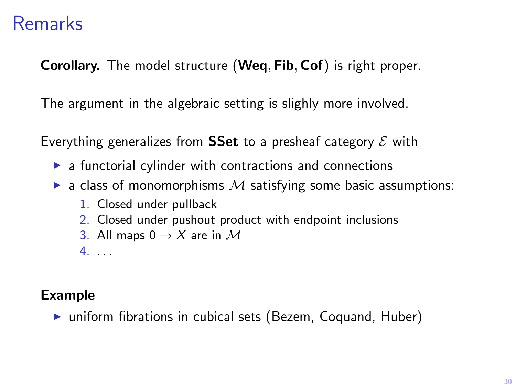## Remarks

Corollary. The model structure (Weq, Fib, Cof) is right proper.

The argument in the algebraic setting is slighly more involved.

Everything generalizes from **SSet** to a presheaf category  $\mathcal E$  with

- $\blacktriangleright$  a functorial cylinder with contractions and connections
- $\triangleright$  a class of monomorphisms  $M$  satisfying some basic assumptions:
	- 1. Closed under pullback
	- 2. Closed under pushout product with endpoint inclusions
	- 3. All maps  $0 \rightarrow X$  are in M
	- 4. . . .

#### Example

 $\triangleright$  uniform fibrations in cubical sets (Bezem, Coquand, Huber)